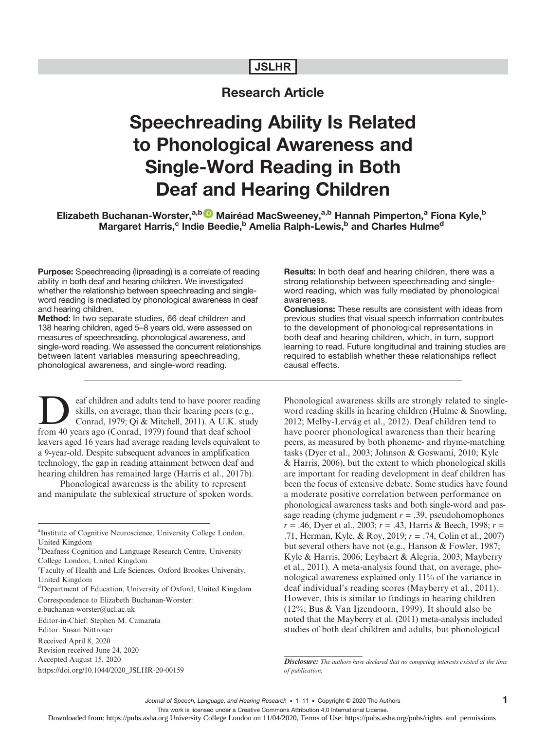# JSLHR

# Research Article

# Speechreading Ability Is Related to Phonological Awareness and Single-Word Reading in Both Deaf and Hearing Children

# Elizabeth Buchanan-Worster,<sup>a,b D</sup> Mairéad MacSweeney,<sup>a,b</sup> Hannah Pimperton,<sup>a</sup> Fiona Kyle,<sup>b</sup> Margaret Harris,<sup>c</sup> Indie Beedie,<sup>b</sup> Amelia Ralph-Lewis,<sup>b</sup> and Charles Hulme<sup>d</sup>

Purpose: Speechreading (lipreading) is a correlate of reading ability in both deaf and hearing children. We investigated whether the relationship between speechreading and singleword reading is mediated by phonological awareness in deaf and hearing children.

Method: In two separate studies, 66 deaf children and 138 hearing children, aged 5–8 years old, were assessed on measures of speechreading, phonological awareness, and single-word reading. We assessed the concurrent relationships between latent variables measuring speechreading, phonological awareness, and single-word reading.

**Deaf children and adults tend to have poorer reading**<br>
skills, on average, than their hearing peers (e.g.,<br>
Conrad, 1979; Qi & Mitchell, 2011). A U.K. study<br>
from 40 years ago (Conrad, 1979) found that deaf school skills, on average, than their hearing peers (e.g., from 40 years ago (Conrad, 1979) found that deaf school leavers aged 16 years had average reading levels equivalent to a 9-year-old. Despite subsequent advances in amplification technology, the gap in reading attainment between deaf and hearing children has remained large (Harris et al., 2017b).

Phonological awareness is the ability to represent and manipulate the sublexical structure of spoken words. Results: In both deaf and hearing children, there was a strong relationship between speechreading and singleword reading, which was fully mediated by phonological awareness.

Conclusions: These results are consistent with ideas from previous studies that visual speech information contributes to the development of phonological representations in both deaf and hearing children, which, in turn, support learning to read. Future longitudinal and training studies are required to establish whether these relationships reflect causal effects.

Phonological awareness skills are strongly related to singleword reading skills in hearing children (Hulme & Snowling, 2012; Melby-Lervåg et al., 2012). Deaf children tend to have poorer phonological awareness than their hearing peers, as measured by both phoneme- and rhyme-matching tasks (Dyer et al., 2003; Johnson & Goswami, 2010; Kyle & Harris, 2006), but the extent to which phonological skills are important for reading development in deaf children has been the focus of extensive debate. Some studies have found a moderate positive correlation between performance on phonological awareness tasks and both single-word and passage reading (rhyme judgment  $r = .39$ , pseudohomophones  $r = .46$ , Dyer et al., 2003;  $r = .43$ , Harris & Beech, 1998;  $r =$ .71, Herman, Kyle, & Roy, 2019;  $r = .74$ , Colin et al., 2007) but several others have not (e.g., Hanson & Fowler, 1987; Kyle & Harris, 2006; Leybaert & Alegria, 2003; Mayberry et al., 2011). A meta-analysis found that, on average, phonological awareness explained only 11% of the variance in deaf individual's reading scores (Mayberry et al., 2011). However, this is similar to findings in hearing children (12%; Bus & Van Ijzendoorn, 1999). It should also be noted that the Mayberry et al. (2011) meta-analysis included studies of both deaf children and adults, but phonological

This work is licensed under a Creative Commons Attribution 4.0 International License.

a Institute of Cognitive Neuroscience, University College London, United Kingdom

b Deafness Cognition and Language Research Centre, University College London, United Kingdom

c Faculty of Health and Life Sciences, Oxford Brookes University, United Kingdom

<sup>&</sup>lt;sup>d</sup>Department of Education, University of Oxford, United Kingdom Correspondence to Elizabeth Buchanan-Worster:

e.buchanan-worster@ucl.ac.uk

Editor-in-Chief: Stephen M. Camarata

Editor: Susan Nittrouer

Received April 8, 2020

Revision received June 24, 2020 Accepted August 15, 2020

https://doi.org/10.1044/2020\_JSLHR-20-00159

Disclosure: The authors have declared that no competing interests existed at the time of publication.

Journal of Speech, Language, and Hearing Research • 1-11 • Copyright © 2020 The Authors

Downloaded from: https://pubs.asha.org University College London on 11/04/2020, Terms of Use: https://pubs.asha.org/pubs/rights\_and\_permissions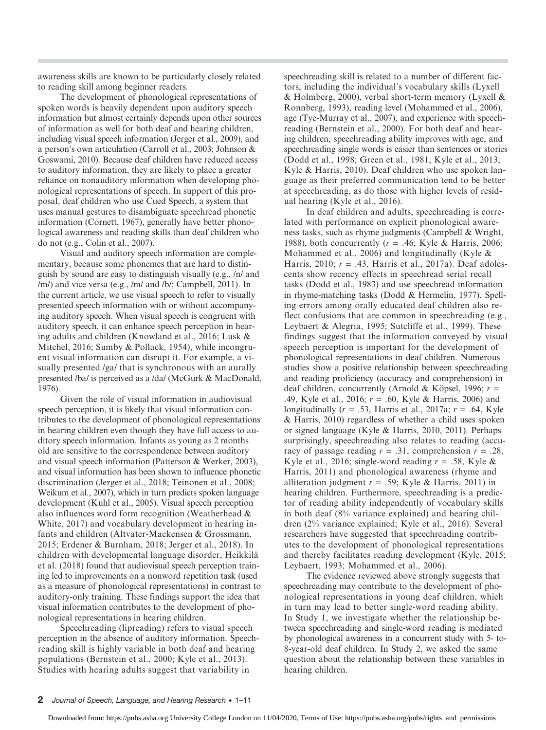awareness skills are known to be particularly closely related to reading skill among beginner readers.

The development of phonological representations of spoken words is heavily dependent upon auditory speech information but almost certainly depends upon other sources of information as well for both deaf and hearing children, including visual speech information (Jerger et al., 2009), and a person's own articulation (Carroll et al., 2003; Johnson & Goswami, 2010). Because deaf children have reduced access to auditory information, they are likely to place a greater reliance on nonauditory information when developing phonological representations of speech. In support of this proposal, deaf children who use Cued Speech, a system that uses manual gestures to disambiguate speechread phonetic information (Cornett, 1967), generally have better phonological awareness and reading skills than deaf children who do not (e.g., Colin et al., 2007).

Visual and auditory speech information are complementary, because some phonemes that are hard to distinguish by sound are easy to distinguish visually (e.g., /n/ and /m/) and vice versa (e.g., /m/ and /b/; Campbell, 2011). In the current article, we use visual speech to refer to visually presented speech information with or without accompanying auditory speech. When visual speech is congruent with auditory speech, it can enhance speech perception in hearing adults and children (Knowland et al., 2016; Lusk & Mitchel, 2016; Sumby & Pollack, 1954), while incongruent visual information can disrupt it. For example, a visually presented /ga/ that is synchronous with an aurally presented /ba/ is perceived as a /da/ (McGurk & MacDonald, 1976).

Given the role of visual information in audiovisual speech perception, it is likely that visual information contributes to the development of phonological representations in hearing children even though they have full access to auditory speech information. Infants as young as 2 months old are sensitive to the correspondence between auditory and visual speech information (Patterson & Werker, 2003), and visual information has been shown to influence phonetic discrimination (Jerger et al., 2018; Teinonen et al., 2008; Weikum et al., 2007), which in turn predicts spoken language development (Kuhl et al., 2005). Visual speech perception also influences word form recognition (Weatherhead & White, 2017) and vocabulary development in hearing infants and children (Altvater-Mackensen & Grossmann, 2015; Erdener & Burnham, 2018; Jerger et al., 2018). In children with developmental language disorder, Heikkilä et al. (2018) found that audiovisual speech perception training led to improvements on a nonword repetition task (used as a measure of phonological representations) in contrast to auditory-only training. These findings support the idea that visual information contributes to the development of phonological representations in hearing children.

Speechreading (lipreading) refers to visual speech perception in the absence of auditory information. Speechreading skill is highly variable in both deaf and hearing populations (Bernstein et al., 2000; Kyle et al., 2013). Studies with hearing adults suggest that variability in

speechreading skill is related to a number of different factors, including the individual's vocabulary skills (Lyxell & Holmberg, 2000), verbal short-term memory (Lyxell & Ronnberg, 1993), reading level (Mohammed et al., 2006), age (Tye-Murray et al., 2007), and experience with speechreading (Bernstein et al., 2000). For both deaf and hearing children, speechreading ability improves with age, and speechreading single words is easier than sentences or stories (Dodd et al., 1998; Green et al., 1981; Kyle et al., 2013; Kyle & Harris, 2010). Deaf children who use spoken language as their preferred communication tend to be better at speechreading, as do those with higher levels of residual hearing (Kyle et al., 2016).

In deaf children and adults, speechreading is correlated with performance on explicit phonological awareness tasks, such as rhyme judgments (Campbell & Wright, 1988), both concurrently  $(r = .46;$  Kyle & Harris, 2006; Mohammed et al., 2006) and longitudinally (Kyle & Harris, 2010;  $r = .43$ , Harris et al., 2017a). Deaf adolescents show recency effects in speechread serial recall tasks (Dodd et al., 1983) and use speechread information in rhyme-matching tasks (Dodd & Hermelin, 1977). Spelling errors among orally educated deaf children also reflect confusions that are common in speechreading (e.g., Leybaert & Alegria, 1995; Sutcliffe et al., 1999). These findings suggest that the information conveyed by visual speech perception is important for the development of phonological representations in deaf children. Numerous studies show a positive relationship between speechreading and reading proficiency (accuracy and comprehension) in deaf children, concurrently (Arnold & Köpsel, 1996;  $r =$ .49, Kyle et al., 2016;  $r = .60$ , Kyle & Harris, 2006) and longitudinally ( $r = .53$ , Harris et al., 2017a;  $r = .64$ , Kyle & Harris, 2010) regardless of whether a child uses spoken or signed language (Kyle & Harris, 2010, 2011). Perhaps surprisingly, speechreading also relates to reading (accuracy of passage reading  $r = .31$ , comprehension  $r = .28$ , Kyle et al., 2016; single-word reading  $r = .58$ , Kyle & Harris, 2011) and phonological awareness (rhyme and alliteration judgment  $r = .59$ ; Kyle & Harris, 2011) in hearing children. Furthermore, speechreading is a predictor of reading ability independently of vocabulary skills in both deaf (8% variance explained) and hearing children (2% variance explained; Kyle et al., 2016). Several researchers have suggested that speechreading contributes to the development of phonological representations and thereby facilitates reading development (Kyle, 2015; Leybaert, 1993; Mohammed et al., 2006).

The evidence reviewed above strongly suggests that speechreading may contribute to the development of phonological representations in young deaf children, which in turn may lead to better single-word reading ability. In Study 1, we investigate whether the relationship between speechreading and single-word reading is mediated by phonological awareness in a concurrent study with 5- to-8-year-old deaf children. In Study 2, we asked the same question about the relationship between these variables in hearing children.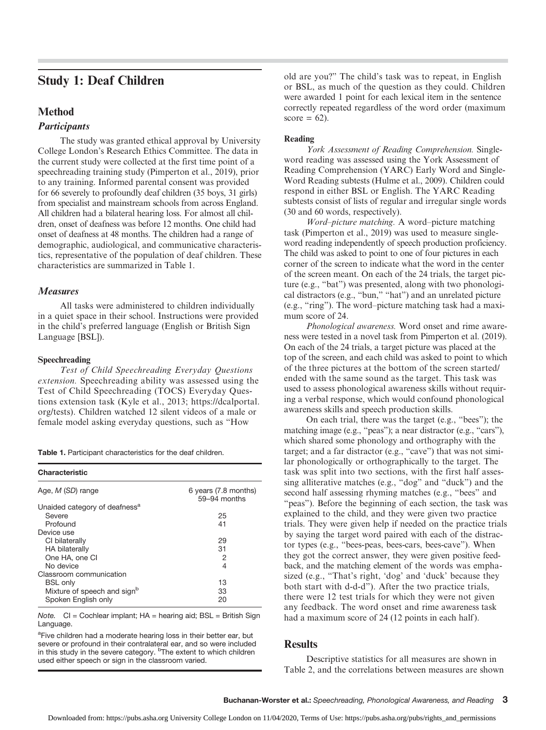# Study 1: Deaf Children

# Method

# **Participants**

The study was granted ethical approval by University College London's Research Ethics Committee. The data in the current study were collected at the first time point of a speechreading training study (Pimperton et al., 2019), prior to any training. Informed parental consent was provided for 66 severely to profoundly deaf children (35 boys, 31 girls) from specialist and mainstream schools from across England. All children had a bilateral hearing loss. For almost all children, onset of deafness was before 12 months. One child had onset of deafness at 48 months. The children had a range of demographic, audiological, and communicative characteristics, representative of the population of deaf children. These characteristics are summarized in Table 1.

# Measures

All tasks were administered to children individually in a quiet space in their school. Instructions were provided in the child's preferred language (English or British Sign Language [BSL]).

### Speechreading

Test of Child Speechreading Everyday Questions extension. Speechreading ability was assessed using the Test of Child Speechreading (TOCS) Everyday Questions extension task (Kyle et al., 2013; [https://dcalportal.](https://dcalportal.org/tests) [org/tests](https://dcalportal.org/tests)). Children watched 12 silent videos of a male or female model asking everyday questions, such as "How

|  |  | Table 1. Participant characteristics for the deaf children. |  |  |  |
|--|--|-------------------------------------------------------------|--|--|--|
|--|--|-------------------------------------------------------------|--|--|--|

| Characteristic                            |                                        |
|-------------------------------------------|----------------------------------------|
| Age, M (SD) range                         | 6 years (7.8 months)<br>$59-94$ months |
| Unaided category of deafness <sup>a</sup> |                                        |
| Severe                                    | 25                                     |
| Profound                                  | 41                                     |
| Device use                                |                                        |
| CI bilaterally                            | 29                                     |
| <b>HA bilaterally</b>                     | 31                                     |
| One HA, one CI                            | 2                                      |
| No device                                 | 4                                      |
| Classroom communication                   |                                        |
| <b>BSL</b> only                           | 13                                     |
| Mixture of speech and sign <sup>b</sup>   | 33                                     |
| Spoken English only                       | 20                                     |

Note.  $Cl = Cochlear$  implant;  $HA =$  hearing aid;  $BSL =$  British Sign Language.

<sup>a</sup>Five children had a moderate hearing loss in their better ear, but severe or profound in their contralateral ear, and so were included in this study in the severe category. <sup>b</sup>The extent to which children used either speech or sign in the classroom varied.

old are you?" The child's task was to repeat, in English or BSL, as much of the question as they could. Children were awarded 1 point for each lexical item in the sentence correctly repeated regardless of the word order (maximum score =  $62$ ).

#### Reading

York Assessment of Reading Comprehension. Singleword reading was assessed using the York Assessment of Reading Comprehension (YARC) Early Word and Single-Word Reading subtests (Hulme et al., 2009). Children could respond in either BSL or English. The YARC Reading subtests consist of lists of regular and irregular single words (30 and 60 words, respectively).

Word–picture matching. A word–picture matching task (Pimperton et al., 2019) was used to measure singleword reading independently of speech production proficiency. The child was asked to point to one of four pictures in each corner of the screen to indicate what the word in the center of the screen meant. On each of the 24 trials, the target picture (e.g., "bat") was presented, along with two phonological distractors (e.g., "bun," "hat") and an unrelated picture (e.g., "ring"). The word–picture matching task had a maximum score of 24.

Phonological awareness. Word onset and rime awareness were tested in a novel task from Pimperton et al. (2019). On each of the 24 trials, a target picture was placed at the top of the screen, and each child was asked to point to which of the three pictures at the bottom of the screen started/ ended with the same sound as the target. This task was used to assess phonological awareness skills without requiring a verbal response, which would confound phonological awareness skills and speech production skills.

On each trial, there was the target (e.g., "bees"); the matching image (e.g., "peas"); a near distractor (e.g., "cars"), which shared some phonology and orthography with the target; and a far distractor (e.g., "cave") that was not similar phonologically or orthographically to the target. The task was split into two sections, with the first half assessing alliterative matches (e.g., "dog" and "duck") and the second half assessing rhyming matches (e.g., "bees" and "peas"). Before the beginning of each section, the task was explained to the child, and they were given two practice trials. They were given help if needed on the practice trials by saying the target word paired with each of the distractor types (e.g., "bees-peas, bees-cars, bees-cave"). When they got the correct answer, they were given positive feedback, and the matching element of the words was emphasized (e.g., "That's right, 'dog' and 'duck' because they both start with d-d-d"). After the two practice trials, there were 12 test trials for which they were not given any feedback. The word onset and rime awareness task had a maximum score of 24 (12 points in each half).

# **Results**

Descriptive statistics for all measures are shown in Table 2, and the correlations between measures are shown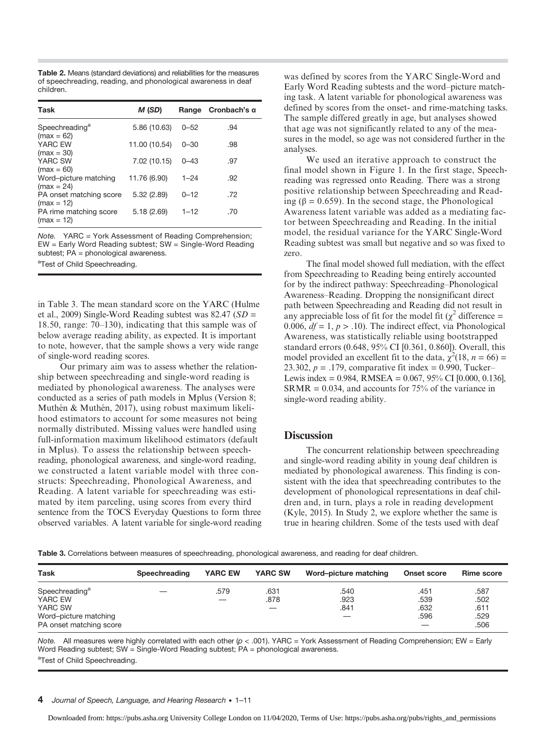Table 2. Means (standard deviations) and reliabilities for the measures of speechreading, reading, and phonological awareness in deaf children.

| Task                                                   | M (SD)        | Range    | Cronbach's α |
|--------------------------------------------------------|---------------|----------|--------------|
| Speechreading <sup>a</sup><br>$(max = 62)$             | 5.86 (10.63)  | $0 - 52$ | .94          |
| YARC EW                                                | 11.00 (10.54) | $0 - 30$ | .98          |
| $(max = 30)$<br>YARC SW                                | 7.02 (10.15)  | $0 - 43$ | .97          |
| $(max = 60)$<br>Word-picture matching                  | 11.76 (6.90)  | $1 - 24$ | .92          |
| $(max = 24)$<br>PA onset matching score                | 5.32 (2.89)   | $0 - 12$ | .72          |
| $(max = 12)$<br>PA rime matching score<br>$(max = 12)$ | 5.18(2.69)    | $1 - 12$ | .70          |

Note. YARC = York Assessment of Reading Comprehension; EW = Early Word Reading subtest; SW = Single-Word Reading subtest; PA = phonological awareness.

<sup>a</sup>Test of Child Speechreading.

in Table 3. The mean standard score on the YARC (Hulme et al., 2009) Single-Word Reading subtest was  $82.47$  (SD = 18.50, range: 70–130), indicating that this sample was of below average reading ability, as expected. It is important to note, however, that the sample shows a very wide range of single-word reading scores.

Our primary aim was to assess whether the relationship between speechreading and single-word reading is mediated by phonological awareness. The analyses were conducted as a series of path models in Mplus (Version 8; Muthén & Muthén, 2017), using robust maximum likelihood estimators to account for some measures not being normally distributed. Missing values were handled using full-information maximum likelihood estimators (default in Mplus). To assess the relationship between speechreading, phonological awareness, and single-word reading, we constructed a latent variable model with three constructs: Speechreading, Phonological Awareness, and Reading. A latent variable for speechreading was estimated by item parceling, using scores from every third sentence from the TOCS Everyday Questions to form three observed variables. A latent variable for single-word reading

was defined by scores from the YARC Single-Word and Early Word Reading subtests and the word–picture matching task. A latent variable for phonological awareness was defined by scores from the onset- and rime-matching tasks. The sample differed greatly in age, but analyses showed that age was not significantly related to any of the measures in the model, so age was not considered further in the analyses.

We used an iterative approach to construct the final model shown in Figure 1. In the first stage, Speechreading was regressed onto Reading. There was a strong positive relationship between Speechreading and Reading ( $\beta$  = 0.659). In the second stage, the Phonological Awareness latent variable was added as a mediating factor between Speechreading and Reading. In the initial model, the residual variance for the YARC Single-Word Reading subtest was small but negative and so was fixed to zero.

The final model showed full mediation, with the effect from Speechreading to Reading being entirely accounted for by the indirect pathway: Speechreading–Phonological Awareness–Reading. Dropping the nonsignificant direct path between Speechreading and Reading did not result in any appreciable loss of fit for the model fit ( $\chi^2$  difference = 0.006,  $df = 1$ ,  $p > .10$ ). The indirect effect, via Phonological Awareness, was statistically reliable using bootstrapped standard errors (0.648, 95% CI [0.361, 0.860]). Overall, this model provided an excellent fit to the data,  $\chi^2(18, n = 66)$  = 23.302,  $p = .179$ , comparative fit index = 0.990, Tucker– Lewis index = 0.984, RMSEA = 0.067, 95% CI [0.000, 0.136],  $SRMR = 0.034$ , and accounts for 75% of the variance in single-word reading ability.

# **Discussion**

The concurrent relationship between speechreading and single-word reading ability in young deaf children is mediated by phonological awareness. This finding is consistent with the idea that speechreading contributes to the development of phonological representations in deaf children and, in turn, plays a role in reading development (Kyle, 2015). In Study 2, we explore whether the same is true in hearing children. Some of the tests used with deaf

Table 3. Correlations between measures of speechreading, phonological awareness, and reading for deaf children.

| <b>Task</b>                                                                                          | Speechreading | <b>YARC EW</b> | <b>YARC SW</b> | Word-picture matching | Onset score                       | <b>Rime score</b>                    |
|------------------------------------------------------------------------------------------------------|---------------|----------------|----------------|-----------------------|-----------------------------------|--------------------------------------|
| Speechreading <sup>a</sup><br>YARC EW<br>YARC SW<br>Word-picture matching<br>PA onset matching score |               | .579           | .631<br>.878   | .540<br>.923<br>.841  | .451<br>.539<br>.632<br>.596<br>- | .587<br>.502<br>.611<br>.529<br>.506 |

Note. All measures were highly correlated with each other (p < .001). YARC = York Assessment of Reading Comprehension; EW = Early Word Reading subtest; SW = Single-Word Reading subtest; PA = phonological awareness. <sup>a</sup>Test of Child Speechreading.

#### 4 Journal of Speech, Language, and Hearing Research • 1-11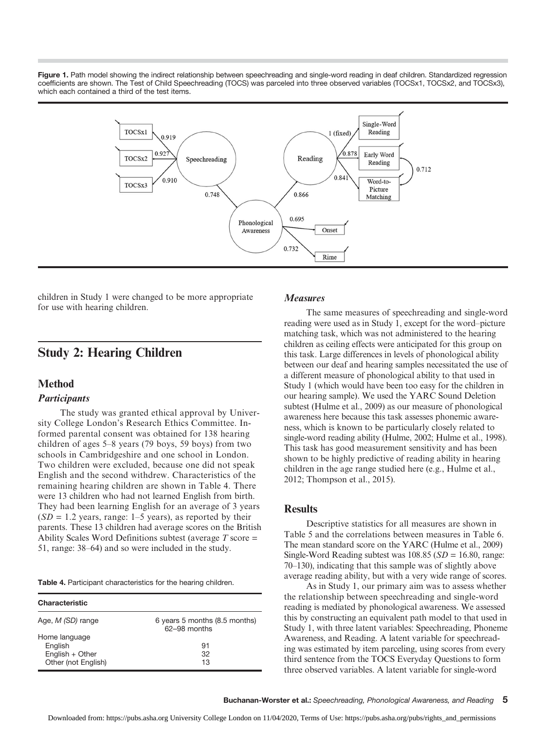Figure 1. Path model showing the indirect relationship between speechreading and single-word reading in deaf children. Standardized regression coefficients are shown. The Test of Child Speechreading (TOCS) was parceled into three observed variables (TOCSx1, TOCSx2, and TOCSx3), which each contained a third of the test items.



children in Study 1 were changed to be more appropriate for use with hearing children.

# Study 2: Hearing Children

# Method

# **Participants**

The study was granted ethical approval by University College London's Research Ethics Committee. Informed parental consent was obtained for 138 hearing children of ages 5–8 years (79 boys, 59 boys) from two schools in Cambridgeshire and one school in London. Two children were excluded, because one did not speak English and the second withdrew. Characteristics of the remaining hearing children are shown in Table 4. There were 13 children who had not learned English from birth. They had been learning English for an average of 3 years  $(SD = 1.2 \text{ years}, \text{ range: } 1-5 \text{ years}), \text{ as reported by their}$ parents. These 13 children had average scores on the British Ability Scales Word Definitions subtest (average  $T$  score  $=$ 51, range: 38–64) and so were included in the study.

|  | Table 4. Participant characteristics for the hearing children. |  |  |
|--|----------------------------------------------------------------|--|--|
|  |                                                                |  |  |

| <b>Characteristic</b>                  |                                                 |  |  |  |
|----------------------------------------|-------------------------------------------------|--|--|--|
| Age, <i>M (SD)</i> range               | 6 years 5 months (8.5 months)<br>$62-98$ months |  |  |  |
| Home language<br>English               | 91                                              |  |  |  |
| English + Other<br>Other (not English) | 32<br>13                                        |  |  |  |

### Measures

The same measures of speechreading and single-word reading were used as in Study 1, except for the word–picture matching task, which was not administered to the hearing children as ceiling effects were anticipated for this group on this task. Large differences in levels of phonological ability between our deaf and hearing samples necessitated the use of a different measure of phonological ability to that used in Study 1 (which would have been too easy for the children in our hearing sample). We used the YARC Sound Deletion subtest (Hulme et al., 2009) as our measure of phonological awareness here because this task assesses phonemic awareness, which is known to be particularly closely related to single-word reading ability (Hulme, 2002; Hulme et al., 1998). This task has good measurement sensitivity and has been shown to be highly predictive of reading ability in hearing children in the age range studied here (e.g., Hulme et al., 2012; Thompson et al., 2015).

### **Results**

Descriptive statistics for all measures are shown in Table 5 and the correlations between measures in Table 6. The mean standard score on the YARC (Hulme et al., 2009) Single-Word Reading subtest was  $108.85$  ( $SD = 16.80$ , range: 70–130), indicating that this sample was of slightly above average reading ability, but with a very wide range of scores.

As in Study 1, our primary aim was to assess whether the relationship between speechreading and single-word reading is mediated by phonological awareness. We assessed this by constructing an equivalent path model to that used in Study 1, with three latent variables: Speechreading, Phoneme Awareness, and Reading. A latent variable for speechreading was estimated by item parceling, using scores from every third sentence from the TOCS Everyday Questions to form three observed variables. A latent variable for single-word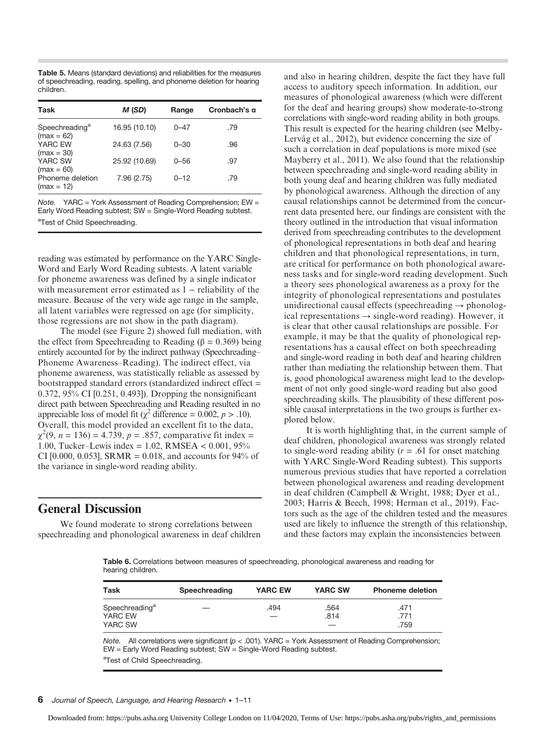Table 5. Means (standard deviations) and reliabilities for the measures of speechreading, reading, spelling, and phoneme deletion for hearing children.

| Task                                       | M (SD)        | Range    | Cronbach's $\alpha$ |
|--------------------------------------------|---------------|----------|---------------------|
| Speechreading <sup>a</sup><br>$(max = 62)$ | 16.95 (10.10) | $0 - 47$ | .79                 |
| YARC EW<br>$(max = 30)$                    | 24.63 (7.56)  | $0 - 30$ | .96                 |
| YARC SW<br>$(max = 60)$                    | 25.92 (10.69) | $0 - 56$ | .97                 |
| Phoneme deletion<br>$(max = 12)$           | 7.96 (2.75)   | $0 - 12$ | .79                 |

Note. YARC = York Assessment of Reading Comprehension; EW = Early Word Reading subtest; SW = Single-Word Reading subtest. <sup>a</sup>Test of Child Speechreading.

reading was estimated by performance on the YARC Single-Word and Early Word Reading subtests. A latent variable for phoneme awareness was defined by a single indicator with measurement error estimated as 1 − reliability of the measure. Because of the very wide age range in the sample, all latent variables were regressed on age (for simplicity, those regressions are not show in the path diagram).

The model (see Figure 2) showed full mediation, with the effect from Speechreading to Reading (β =  $0.369$ ) being entirely accounted for by the indirect pathway (Speechreading– Phoneme Awareness–Reading). The indirect effect, via phoneme awareness, was statistically reliable as assessed by bootstrapped standard errors (standardized indirect effect = 0.372, 95% CI [0.251, 0.493]). Dropping the nonsignificant direct path between Speechreading and Reading resulted in no appreciable loss of model fit ( $\chi^2$  difference = 0.002,  $p > .10$ ). Overall, this model provided an excellent fit to the data,  $\chi^2(9, n = 136) = 4.739, p = .857$ , comparative fit index = 1.00, Tucker–Lewis index = 1.02, RMSEA < 0.001, 95% CI [0.000, 0.053], SRMR = 0.018, and accounts for 94% of the variance in single-word reading ability.

# General Discussion

We found moderate to strong correlations between speechreading and phonological awareness in deaf children and also in hearing children, despite the fact they have full access to auditory speech information. In addition, our measures of phonological awareness (which were different for the deaf and hearing groups) show moderate-to-strong correlations with single-word reading ability in both groups. This result is expected for the hearing children (see Melby-Lervåg et al., 2012), but evidence concerning the size of such a correlation in deaf populations is more mixed (see Mayberry et al., 2011). We also found that the relationship between speechreading and single-word reading ability in both young deaf and hearing children was fully mediated by phonological awareness. Although the direction of any causal relationships cannot be determined from the concurrent data presented here, our findings are consistent with the theory outlined in the introduction that visual information derived from speechreading contributes to the development of phonological representations in both deaf and hearing children and that phonological representations, in turn, are critical for performance on both phonological awareness tasks and for single-word reading development. Such a theory sees phonological awareness as a proxy for the integrity of phonological representations and postulates unidirectional causal effects (speechreading  $\rightarrow$  phonological representations  $\rightarrow$  single-word reading). However, it is clear that other causal relationships are possible. For example, it may be that the quality of phonological representations has a causal effect on both speechreading and single-word reading in both deaf and hearing children rather than mediating the relationship between them. That is, good phonological awareness might lead to the development of not only good single-word reading but also good speechreading skills. The plausibility of these different possible causal interpretations in the two groups is further explored below.

It is worth highlighting that, in the current sample of deaf children, phonological awareness was strongly related to single-word reading ability ( $r = .61$  for onset matching with YARC Single-Word Reading subtest). This supports numerous previous studies that have reported a correlation between phonological awareness and reading development in deaf children (Campbell & Wright, 1988; Dyer et al., 2003; Harris & Beech, 1998; Herman et al., 2019). Factors such as the age of the children tested and the measures used are likely to influence the strength of this relationship, and these factors may explain the inconsistencies between

Table 6. Correlations between measures of speechreading, phonological awareness and reading for hearing children.

| Task                                             | Speechreading | <b>YARC EW</b> | <b>YARC SW</b> | <b>Phoneme deletion</b> |
|--------------------------------------------------|---------------|----------------|----------------|-------------------------|
| Speechreading <sup>a</sup><br>YARC EW<br>YARC SW |               | .494           | .564<br>.814   | .471<br>.771<br>.759    |

Note. All correlations were significant ( $p < .001$ ). YARC = York Assessment of Reading Comprehension; EW = Early Word Reading subtest; SW = Single-Word Reading subtest.

### 6 Journal of Speech, Language, and Hearing Research • 1–11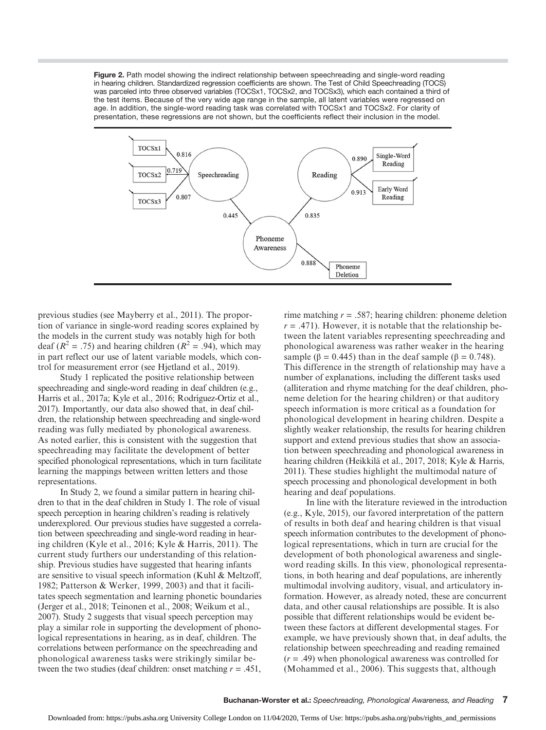Figure 2. Path model showing the indirect relationship between speechreading and single-word reading in hearing children. Standardized regression coefficients are shown. The Test of Child Speechreading (TOCS) was parceled into three observed variables (TOCSx1, TOCSx2, and TOCSx3), which each contained a third of the test items. Because of the very wide age range in the sample, all latent variables were regressed on age. In addition, the single-word reading task was correlated with TOCSx1 and TOCSx2. For clarity of presentation, these regressions are not shown, but the coefficients reflect their inclusion in the model.



previous studies (see Mayberry et al., 2011). The proportion of variance in single-word reading scores explained by the models in the current study was notably high for both deaf ( $R^2 = .75$ ) and hearing children ( $R^2 = .94$ ), which may in part reflect our use of latent variable models, which control for measurement error (see Hjetland et al., 2019).

Study 1 replicated the positive relationship between speechreading and single-word reading in deaf children (e.g., Harris et al., 2017a; Kyle et al., 2016; Rodríguez-Ortiz et al., 2017). Importantly, our data also showed that, in deaf children, the relationship between speechreading and single-word reading was fully mediated by phonological awareness. As noted earlier, this is consistent with the suggestion that speechreading may facilitate the development of better specified phonological representations, which in turn facilitate learning the mappings between written letters and those representations.

In Study 2, we found a similar pattern in hearing children to that in the deaf children in Study 1. The role of visual speech perception in hearing children's reading is relatively underexplored. Our previous studies have suggested a correlation between speechreading and single-word reading in hearing children (Kyle et al., 2016; Kyle & Harris, 2011). The current study furthers our understanding of this relationship. Previous studies have suggested that hearing infants are sensitive to visual speech information (Kuhl & Meltzoff, 1982; Patterson & Werker, 1999, 2003) and that it facilitates speech segmentation and learning phonetic boundaries (Jerger et al., 2018; Teinonen et al., 2008; Weikum et al., 2007). Study 2 suggests that visual speech perception may play a similar role in supporting the development of phonological representations in hearing, as in deaf, children. The correlations between performance on the speechreading and phonological awareness tasks were strikingly similar between the two studies (deaf children: onset matching  $r = .451$ ,

rime matching  $r = .587$ ; hearing children: phoneme deletion  $r = .471$ ). However, it is notable that the relationship between the latent variables representing speechreading and phonological awareness was rather weaker in the hearing sample ( $\beta$  = 0.445) than in the deaf sample ( $\beta$  = 0.748). This difference in the strength of relationship may have a number of explanations, including the different tasks used (alliteration and rhyme matching for the deaf children, phoneme deletion for the hearing children) or that auditory speech information is more critical as a foundation for phonological development in hearing children. Despite a slightly weaker relationship, the results for hearing children support and extend previous studies that show an association between speechreading and phonological awareness in hearing children (Heikkilä et al., 2017, 2018; Kyle & Harris, 2011). These studies highlight the multimodal nature of speech processing and phonological development in both hearing and deaf populations.

In line with the literature reviewed in the introduction (e.g., Kyle, 2015), our favored interpretation of the pattern of results in both deaf and hearing children is that visual speech information contributes to the development of phonological representations, which in turn are crucial for the development of both phonological awareness and singleword reading skills. In this view, phonological representations, in both hearing and deaf populations, are inherently multimodal involving auditory, visual, and articulatory information. However, as already noted, these are concurrent data, and other causal relationships are possible. It is also possible that different relationships would be evident between these factors at different developmental stages. For example, we have previously shown that, in deaf adults, the relationship between speechreading and reading remained  $(r = .49)$  when phonological awareness was controlled for (Mohammed et al., 2006). This suggests that, although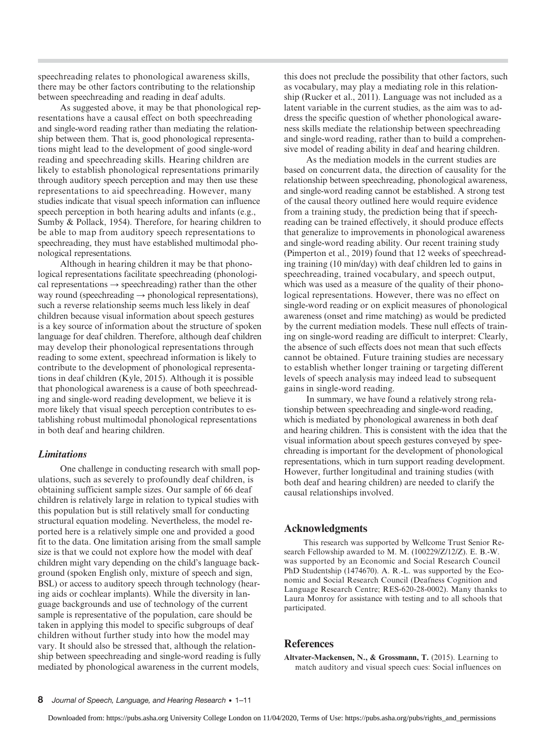speechreading relates to phonological awareness skills, there may be other factors contributing to the relationship between speechreading and reading in deaf adults.

As suggested above, it may be that phonological representations have a causal effect on both speechreading and single-word reading rather than mediating the relationship between them. That is, good phonological representations might lead to the development of good single-word reading and speechreading skills. Hearing children are likely to establish phonological representations primarily through auditory speech perception and may then use these representations to aid speechreading. However, many studies indicate that visual speech information can influence speech perception in both hearing adults and infants (e.g., Sumby & Pollack, 1954). Therefore, for hearing children to be able to map from auditory speech representations to speechreading, they must have established multimodal phonological representations.

Although in hearing children it may be that phonological representations facilitate speechreading (phonological representations  $\rightarrow$  speechreading) rather than the other way round (speechreading  $\rightarrow$  phonological representations), such a reverse relationship seems much less likely in deaf children because visual information about speech gestures is a key source of information about the structure of spoken language for deaf children. Therefore, although deaf children may develop their phonological representations through reading to some extent, speechread information is likely to contribute to the development of phonological representations in deaf children (Kyle, 2015). Although it is possible that phonological awareness is a cause of both speechreading and single-word reading development, we believe it is more likely that visual speech perception contributes to establishing robust multimodal phonological representations in both deaf and hearing children.

### Limitations

One challenge in conducting research with small populations, such as severely to profoundly deaf children, is obtaining sufficient sample sizes. Our sample of 66 deaf children is relatively large in relation to typical studies with this population but is still relatively small for conducting structural equation modeling. Nevertheless, the model reported here is a relatively simple one and provided a good fit to the data. One limitation arising from the small sample size is that we could not explore how the model with deaf children might vary depending on the child's language background (spoken English only, mixture of speech and sign, BSL) or access to auditory speech through technology (hearing aids or cochlear implants). While the diversity in language backgrounds and use of technology of the current sample is representative of the population, care should be taken in applying this model to specific subgroups of deaf children without further study into how the model may vary. It should also be stressed that, although the relationship between speechreading and single-word reading is fully mediated by phonological awareness in the current models,

this does not preclude the possibility that other factors, such as vocabulary, may play a mediating role in this relationship (Rucker et al., 2011). Language was not included as a latent variable in the current studies, as the aim was to address the specific question of whether phonological awareness skills mediate the relationship between speechreading and single-word reading, rather than to build a comprehensive model of reading ability in deaf and hearing children.

As the mediation models in the current studies are based on concurrent data, the direction of causality for the relationship between speechreading, phonological awareness, and single-word reading cannot be established. A strong test of the causal theory outlined here would require evidence from a training study, the prediction being that if speechreading can be trained effectively, it should produce effects that generalize to improvements in phonological awareness and single-word reading ability. Our recent training study (Pimperton et al., 2019) found that 12 weeks of speechreading training (10 min/day) with deaf children led to gains in speechreading, trained vocabulary, and speech output, which was used as a measure of the quality of their phonological representations. However, there was no effect on single-word reading or on explicit measures of phonological awareness (onset and rime matching) as would be predicted by the current mediation models. These null effects of training on single-word reading are difficult to interpret: Clearly, the absence of such effects does not mean that such effects cannot be obtained. Future training studies are necessary to establish whether longer training or targeting different levels of speech analysis may indeed lead to subsequent gains in single-word reading.

In summary, we have found a relatively strong relationship between speechreading and single-word reading, which is mediated by phonological awareness in both deaf and hearing children. This is consistent with the idea that the visual information about speech gestures conveyed by speechreading is important for the development of phonological representations, which in turn support reading development. However, further longitudinal and training studies (with both deaf and hearing children) are needed to clarify the causal relationships involved.

# Acknowledgments

This research was supported by Wellcome Trust Senior Research Fellowship awarded to M. M. (100229/Z/12/Z). E. B.-W. was supported by an Economic and Social Research Council PhD Studentship (1474670). A. R.-L. was supported by the Economic and Social Research Council (Deafness Cognition and Language Research Centre; RES-620-28-0002). Many thanks to Laura Monroy for assistance with testing and to all schools that participated.

# References

Altvater-Mackensen, N., & Grossmann, T. (2015). Learning to match auditory and visual speech cues: Social influences on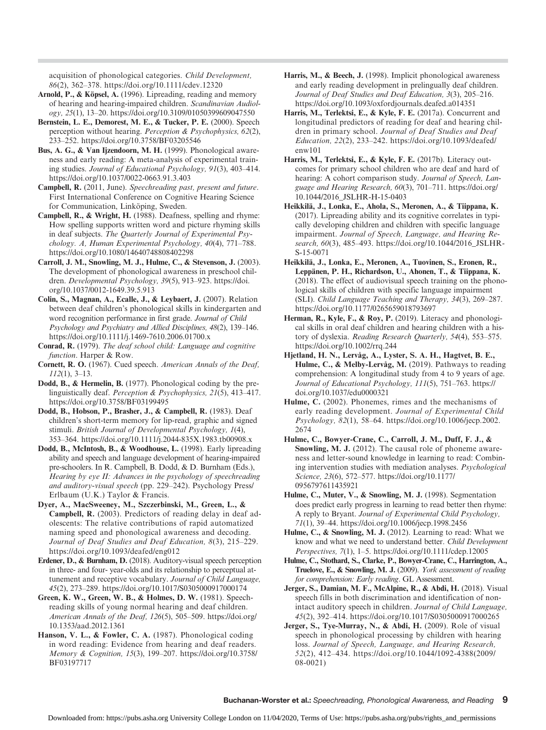acquisition of phonological categories. Child Development, 86(2), 362–378.<https://doi.org/10.1111/cdev.12320>

- Arnold, P., & Köpsel, A. (1996). Lipreading, reading and memory of hearing and hearing-impaired children. Scandinavian Audiology, 25(1), 13–20.<https://doi.org/10.3109/01050399609047550>
- Bernstein, L. E., Demorest, M. E., & Tucker, P. E. (2000). Speech perception without hearing. Perception & Psychophysics, 62(2), 233–252.<https://doi.org/10.3758/BF03205546>
- Bus, A. G., & Van Ijzendoorn, M. H. (1999). Phonological awareness and early reading: A meta-analysis of experimental training studies. Journal of Educational Psychology, 91(3), 403–414. <https://doi.org/10.1037/0022-0663.91.3.403>
- Campbell, R. (2011, June). Speechreading past, present and future. First International Conference on Cognitive Hearing Science for Communication, Linköping, Sweden.
- Campbell, R., & Wright, H. (1988). Deafness, spelling and rhyme: How spelling supports written word and picture rhyming skills in deaf subjects. The Quarterly Journal of Experimental Psychology. A, Human Experimental Psychology, 40(4), 771–788. <https://doi.org/10.1080/14640748808402298>
- Carroll, J. M., Snowling, M. J., Hulme, C., & Stevenson, J. (2003). The development of phonological awareness in preschool children. Developmental Psychology, 39(5), 913–923. [https://doi.](https://doi.org/10.1037/0012-1649.39.5.913) [org/10.1037/0012-1649.39.5.913](https://doi.org/10.1037/0012-1649.39.5.913)
- Colin, S., Magnan, A., Ecalle, J., & Leybaert, J. (2007). Relation between deaf children's phonological skills in kindergarten and word recognition performance in first grade. Journal of Child Psychology and Psychiatry and Allied Disciplines, 48(2), 139–146. <https://doi.org/10.1111/j.1469-7610.2006.01700.x>
- Conrad, R. (1979). The deaf school child: Language and cognitive function. Harper & Row.
- Cornett, R. O. (1967). Cued speech. American Annals of the Deaf, 112(1), 3–13.
- Dodd, B., & Hermelin, B. (1977). Phonological coding by the prelinguistically deaf. Perception & Psychophysics, 21(5), 413–417. <https://doi.org/10.3758/BF03199495>
- Dodd, B., Hobson, P., Brasher, J., & Campbell, R. (1983). Deaf children's short-term memory for lip-read, graphic and signed stimuli. British Journal of Developmental Psychology, 1(4), 353–364.<https://doi.org/10.1111/j.2044-835X.1983.tb00908.x>
- Dodd, B., McIntosh, B., & Woodhouse, L. (1998). Early lipreading ability and speech and language development of hearing-impaired pre-schoolers. In R. Campbell, B. Dodd, & D. Burnham (Eds.), Hearing by eye II: Advances in the psychology of speechreading and auditory-visual speech (pp. 229–242). Psychology Press/ Erlbaum (U.K.) Taylor & Francis.
- Dyer, A., MacSweeney, M., Szczerbinski, M., Green, L., & Campbell, R. (2003). Predictors of reading delay in deaf adolescents: The relative contributions of rapid automatized naming speed and phonological awareness and decoding. Journal of Deaf Studies and Deaf Education, 8(3), 215–229. <https://doi.org/10.1093/deafed/eng012>
- Erdener, D., & Burnham, D. (2018). Auditory-visual speech perception in three- and four- year-olds and its relationship to perceptual attunement and receptive vocabulary. Journal of Child Language, 45(2), 273–289.<https://doi.org/10.1017/S0305000917000174>
- Green, K. W., Green, W. B., & Holmes, D. W. (1981). Speechreading skills of young normal hearing and deaf children. American Annals of the Deaf, 126(5), 505–509. [https://doi.org/](https://doi.org/10.1353/aad.2012.1361) [10.1353/aad.2012.1361](https://doi.org/10.1353/aad.2012.1361)
- Hanson, V. L., & Fowler, C. A. (1987). Phonological coding in word reading: Evidence from hearing and deaf readers. Memory & Cognition, 15(3), 199–207. [https://doi.org/10.3758/](https://doi.org/10.3758/BF03197717) [BF03197717](https://doi.org/10.3758/BF03197717)
- Harris, M., & Beech, J. (1998). Implicit phonological awareness and early reading development in prelingually deaf children. Journal of Deaf Studies and Deaf Education, 3(3), 205–216. <https://doi.org/10.1093/oxfordjournals.deafed.a014351>
- Harris, M., Terlektsi, E., & Kyle, F. E. (2017a). Concurrent and longitudinal predictors of reading for deaf and hearing children in primary school. Journal of Deaf Studies and Deaf Education, 22(2), 233–242. [https://doi.org/10.1093/deafed/](https://doi.org/10.1093/deafed/enw101) [enw101](https://doi.org/10.1093/deafed/enw101)
- Harris, M., Terlektsi, E., & Kyle, F. E. (2017b). Literacy outcomes for primary school children who are deaf and hard of hearing: A cohort comparison study. Journal of Speech, Language and Hearing Research, 60(3), 701–711. [https://doi.org/](https://doi.org/10.1044/2016_JSLHR-H-15-0403) [10.1044/2016\\_JSLHR-H-15-0403](https://doi.org/10.1044/2016_JSLHR-H-15-0403)
- Heikkilä, J., Lonka, E., Ahola, S., Meronen, A., & Tiippana, K. (2017). Lipreading ability and its cognitive correlates in typically developing children and children with specific language impairment. Journal of Speech, Language, and Hearing Research, 60(3), 485–493. [https://doi.org/10.1044/2016\\_JSLHR-](https://doi.org/10.1044/2016_JSLHR-S-15-0071)[S-15-0071](https://doi.org/10.1044/2016_JSLHR-S-15-0071)
- Heikkilä, J., Lonka, E., Meronen, A., Tuovinen, S., Eronen, R., Leppänen, P. H., Richardson, U., Ahonen, T., & Tiippana, K. (2018). The effect of audiovisual speech training on the phonological skills of children with specific language impairment (SLI). Child Language Teaching and Therapy, 34(3), 269–287. <https://doi.org/10.1177/0265659018793697>
- Herman, R., Kyle, F., & Roy, P. (2019). Literacy and phonological skills in oral deaf children and hearing children with a history of dyslexia. Reading Research Quarterly, 54(4), 553–575. <https://doi.org/10.1002/rrq.244>
- Hjetland, H. N., Lervåg, A., Lyster, S. A. H., Hagtvet, B. E., Hulme, C., & Melby-Lervåg, M. (2019). Pathways to reading comprehension: A longitudinal study from 4 to 9 years of age. Journal of Educational Psychology, 111(5), 751–763. [https://](https://doi.org/10.1037/edu0000321) [doi.org/10.1037/edu0000321](https://doi.org/10.1037/edu0000321)
- Hulme, C. (2002). Phonemes, rimes and the mechanisms of early reading development. Journal of Experimental Child Psychology, 82(1), 58–64. [https://doi.org/10.1006/jecp.2002.](https://doi.org/10.1006/jecp.2002.2674) [2674](https://doi.org/10.1006/jecp.2002.2674)
- Hulme, C., Bowyer-Crane, C., Carroll, J. M., Duff, F. J., & Snowling, M. J. (2012). The causal role of phoneme awareness and letter-sound knowledge in learning to read: Combining intervention studies with mediation analyses. Psychological Science, 23(6), 572–577. [https://doi.org/10.1177/](https://doi.org/10.1177/0956797611435921) [0956797611435921](https://doi.org/10.1177/0956797611435921)
- Hulme, C., Muter, V., & Snowling, M. J. (1998). Segmentation does predict early progress in learning to read better then rhyme: A reply to Bryant. Journal of Experimental Child Psychology, 71(1), 39–44.<https://doi.org/10.1006/jecp.1998.2456>
- Hulme, C., & Snowling, M. J. (2012). Learning to read: What we know and what we need to understand better. Child Development Perspectives, 7(1), 1–5.<https://doi.org/10.1111/cdep.12005>
- Hulme, C., Stothard, S., Clarke, P., Bowyer-Crane, C., Harrington, A., Truelove, E., & Snowling, M. J. (2009). York assessment of reading for comprehension: Early reading. GL Assessment.
- Jerger, S., Damian, M. F., McAlpine, R., & Abdi, H. (2018). Visual speech fills in both discrimination and identification of nonintact auditory speech in children. Journal of Child Language, 45(2), 392–414.<https://doi.org/10.1017/S0305000917000265>
- Jerger, S., Tye-Murray, N., & Abdi, H. (2009). Role of visual speech in phonological processing by children with hearing loss. Journal of Speech, Language, and Hearing Research, 52(2), 412–434. [https://doi.org/10.1044/1092-4388\(2009/](https://doi.org/10.1044/1092-4388(2009/08-0021)) [08-0021\)](https://doi.org/10.1044/1092-4388(2009/08-0021))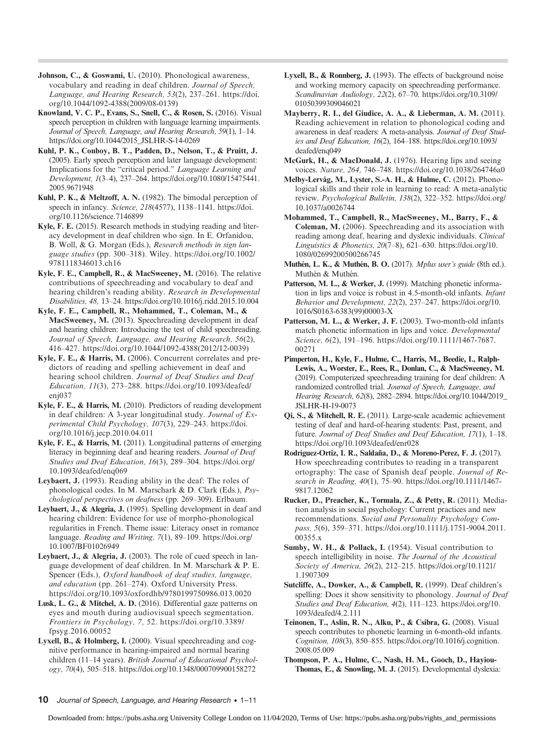- Johnson, C., & Goswami, U. (2010). Phonological awareness, vocabulary and reading in deaf children. Journal of Speech, Language, and Hearing Research, 53(2), 237–261. [https://doi.](https://doi.org/10.1044/1092-4388(2009/08-0139)) [org/10.1044/1092-4388\(2009/08-0139\)](https://doi.org/10.1044/1092-4388(2009/08-0139))
- Knowland, V. C. P., Evans, S., Snell, C., & Rosen, S. (2016). Visual speech perception in children with language learning impairments. Journal of Speech, Language, and Hearing Research, 59(1), 1–14. [https://doi.org/10.1044/2015\\_JSLHR-S-14-0269](https://doi.org/10.1044/2015_JSLHR-S-14-0269)
- Kuhl, P. K., Conboy, B. T., Padden, D., Nelson, T., & Pruitt, J. (2005). Early speech perception and later language development: Implications for the "critical period." Language Learning and Development, 1(3–4), 237–264. [https://doi.org/10.1080/15475441.](https://doi.org/10.1080/15475441.2005.9671948) [2005.9671948](https://doi.org/10.1080/15475441.2005.9671948)
- Kuhl, P. K., & Meltzoff, A. N. (1982). The bimodal perception of speech in infancy. Science, 218(4577), 1138–1141. [https://doi.](https://doi.org/10.1126/science.7146899) [org/10.1126/science.7146899](https://doi.org/10.1126/science.7146899)
- Kyle, F. E. (2015). Research methods in studying reading and literacy development in deaf children who sign. In E. Orfanidou, B. Woll, & G. Morgan (Eds.), Research methods in sign language studies (pp. 300–318). Wiley. [https://doi.org/10.1002/](https://doi.org/10.1002/9781118346013.ch16) [9781118346013.ch16](https://doi.org/10.1002/9781118346013.ch16)
- Kyle, F. E., Campbell, R., & MacSweeney, M. (2016). The relative contributions of speechreading and vocabulary to deaf and hearing children's reading ability. Research in Developmental Disabilities, 48, 13–24.<https://doi.org/10.1016/j.ridd.2015.10.004>
- Kyle, F. E., Campbell, R., Mohammed, T., Coleman, M., & MacSweeney, M. (2013). Speechreading development in deaf and hearing children: Introducing the test of child speechreading. Journal of Speech, Language, and Hearing Research, 56(2), 416–427. [https://doi.org/10.1044/1092-4388\(2012/12-0039\)](https://doi.org/10.1044/1092-4388(2012/12-0039))
- Kyle, F. E., & Harris, M. (2006). Concurrent correlates and predictors of reading and spelling achievement in deaf and hearing school children. Journal of Deaf Studies and Deaf Education, 11(3), 273–288. [https://doi.org/10.1093/deafed/](https://doi.org/10.1093/deafed/enj037) [enj037](https://doi.org/10.1093/deafed/enj037)
- Kyle, F. E., & Harris, M. (2010). Predictors of reading development in deaf children: A 3-year longitudinal study. Journal of Experimental Child Psychology, 107(3), 229–243. [https://doi.](https://doi.org/10.1016/j.jecp.2010.04.011) [org/10.1016/j.jecp.2010.04.011](https://doi.org/10.1016/j.jecp.2010.04.011)
- Kyle, F. E., & Harris, M. (2011). Longitudinal patterns of emerging literacy in beginning deaf and hearing readers. Journal of Deaf Studies and Deaf Education, 16(3), 289–304. [https://doi.org/](https://doi.org/10.1093/deafed/enq069) [10.1093/deafed/enq069](https://doi.org/10.1093/deafed/enq069)
- Leybaert, J. (1993). Reading ability in the deaf: The roles of phonological codes. In M. Marschark & D. Clark (Eds.), Psychological perspectives on deafness (pp. 269–309). Erlbaum.
- Leybaert, J., & Alegria, J. (1995). Spelling development in deaf and hearing children: Evidence for use of morpho-phonological regularities in French. Theme issue: Literacy onset in romance language. Reading and Writing, 7(1), 89–109. [https://doi.org/](https://doi.org/10.1007/BF01026949) [10.1007/BF01026949](https://doi.org/10.1007/BF01026949)
- Leybaert, J., & Alegria, J. (2003). The role of cued speech in language development of deaf children. In M. Marschark & P. E. Spencer (Eds.), Oxford handbook of deaf studies, language, and education (pp. 261–274). Oxford University Press. <https://doi.org/10.1093/oxfordhb/9780199750986.013.0020>
- Lusk, L. G., & Mitchel, A. D. (2016). Differential gaze patterns on eyes and mouth during audiovisual speech segmentation. Frontiers in Psychology, 7, 52. [https://doi.org/10.3389/](https://doi.org/10.3389/fpsyg.2016.00052) [fpsyg.2016.00052](https://doi.org/10.3389/fpsyg.2016.00052)
- Lyxell, B., & Holmberg, I. (2000). Visual speechreading and cognitive performance in hearing-impaired and normal hearing children (11-14 years). British Journal of Educational Psychology, 70(4), 505–518.<https://doi.org/10.1348/000709900158272>
- Lyxell, B., & Ronnberg, J. (1993). The effects of background noise and working memory capacity on speechreading performance. Scandinavian Audiology, 22(2), 67–70. [https://doi.org/10.3109/](https://doi.org/10.3109/01050399309046021) [01050399309046021](https://doi.org/10.3109/01050399309046021)
- Mayberry, R. I., del Giudice, A. A., & Lieberman, A. M. (2011). Reading achievement in relation to phonological coding and awareness in deaf readers: A meta-analysis. Journal of Deaf Studies and Deaf Education, 16(2), 164–188. [https://doi.org/10.1093/](https://doi.org/10.1093/deafed/enq049) [deafed/enq049](https://doi.org/10.1093/deafed/enq049)
- McGurk, H., & MacDonald, J. (1976). Hearing lips and seeing voices. Nature, 264, 746–748.<https://doi.org/10.1038/264746a0>
- Melby-Lervåg, M., Lyster, S.-A. H., & Hulme, C. (2012). Phonological skills and their role in learning to read: A meta-analytic review. Psychological Bulletin, 138(2), 322–352. [https://doi.org/](https://doi.org/10.1037/a0026744) [10.1037/a0026744](https://doi.org/10.1037/a0026744)
- Mohammed, T., Campbell, R., MacSweeney, M., Barry, F., & Coleman, M. (2006). Speechreading and its association with reading among deaf, hearing and dyslexic individuals. Clinical Linguistics & Phonetics, 20(7–8), 621–630. [https://doi.org/10.](https://doi.org/10.1080/02699200500266745) [1080/02699200500266745](https://doi.org/10.1080/02699200500266745)
- Muthén, L. K., & Muthén, B. O. (2017). Mplus user's guide (8th ed.). Muthén & Muthén.
- Patterson, M. L., & Werker, J. (1999). Matching phonetic information in lips and voice is robust in 4.5-month-old infants. Infant Behavior and Development, 22(2), 237–247. [https://doi.org/10.](https://doi.org/10.1016/S0163-6383(99)00003-X) [1016/S0163-6383\(99\)00003-X](https://doi.org/10.1016/S0163-6383(99)00003-X)
- Patterson, M. L., & Werker, J. F. (2003). Two-month-old infants match phonetic information in lips and voice. Developmental Science, 6(2), 191–196. [https://doi.org/10.1111/1467-7687.](https://doi.org/10.1111/1467-7687.00271) [00271](https://doi.org/10.1111/1467-7687.00271)
- Pimperton, H., Kyle, F., Hulme, C., Harris, M., Beedie, I., Ralph-Lewis, A., Worster, E., Rees, R., Donlan, C., & MacSweeney, M. (2019). Computerized speechreading training for deaf children: A randomized controlled trial. Journal of Speech, Language, and Hearing Research, 62(8), 2882–2894. [https://doi.org/10.1044/2019\\_](https://doi.org/10.1044/2019_JSLHR-H-19-0073) [JSLHR-H-19-0073](https://doi.org/10.1044/2019_JSLHR-H-19-0073)
- Qi, S., & Mitchell, R. E. (2011). Large-scale academic achievement testing of deaf and hard-of-hearing students: Past, present, and future. Journal of Deaf Studies and Deaf Education, 17(1), 1–18. <https://doi.org/10.1093/deafed/enr028>
- Rodríguez-Ortiz, I. R., Saldaña, D., & Moreno-Perez, F. J. (2017). How speechreading contributes to reading in a transparent ortography: The case of Spanish deaf people. Journal of Research in Reading, 40(1), 75–90. [https://doi.org/10.1111/1467-](https://doi.org/10.1111/1467-9817.12062) [9817.12062](https://doi.org/10.1111/1467-9817.12062)
- Rucker, D., Preacher, K., Tormala, Z., & Petty, R. (2011). Mediation analysis in social psychology: Current practices and new recommendations. Social and Personality Psychology Compass, 5(6), 359–371. [https://doi.org/10.1111/j.1751-9004.2011.](https://doi.org/10.1111/j.1751-9004.2011.00355.x) [00355.x](https://doi.org/10.1111/j.1751-9004.2011.00355.x)
- Sumby, W. H., & Pollack, I. (1954). Visual contribution to speech intelligibility in noise. The Journal of the Acoustical Society of America, 26(2), 212–215. [https://doi.org/10.1121/](https://doi.org/10.1121/1.1907309) [1.1907309](https://doi.org/10.1121/1.1907309)
- Sutcliffe, A., Dowker, A., & Campbell, R. (1999). Deaf children's spelling: Does it show sensitivity to phonology. Journal of Deaf Studies and Deaf Education, 4(2), 111–123. [https://doi.org/10.](https://doi.org/10.1093/deafed/4.2.111) [1093/deafed/4.2.111](https://doi.org/10.1093/deafed/4.2.111)
- Teinonen, T., Aslin, R. N., Alku, P., & Csibra, G. (2008). Visual speech contributes to phonetic learning in 6-month-old infants. Cognition, 108(3), 850–855. [https://doi.org/10.1016/j.cognition.](https://doi.org/10.1016/j.cognition.2008.05.009) [2008.05.009](https://doi.org/10.1016/j.cognition.2008.05.009)
- Thompson, P. A., Hulme, C., Nash, H. M., Gooch, D., Hayiou-Thomas, E., & Snowling, M. J. (2015). Developmental dyslexia: